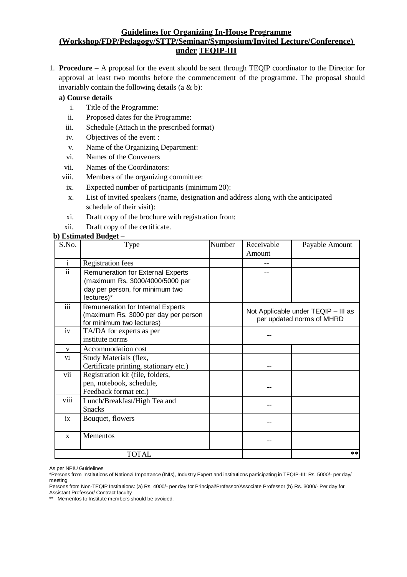## **Guidelines for Organizing In-House Programme (Workshop/FDP/Pedagogy/STTP/Seminar/Symposium/Invited Lecture/Conference) under TEQIP-III**

1. **Procedure –** A proposal for the event should be sent through TEQIP coordinator to the Director for approval at least two months before the commencement of the programme. The proposal should invariably contain the following details  $(a \& b)$ :

## **a) Course details**

- i. Title of the Programme:
- ii. Proposed dates for the Programme:
- iii. Schedule (Attach in the prescribed format)
- iv. Objectives of the event :
- v. Name of the Organizing Department:
- vi. Names of the Conveners
- vii. Names of the Coordinators:
- viii. Members of the organizing committee:
- ix. Expected number of participants (minimum 20):
- x. List of invited speakers (name, designation and address along with the anticipated schedule of their visit):
- xi. Draft copy of the brochure with registration from:
- xii. Draft copy of the certificate.

# **b) Estimated Budget –**

| S.No.                    | Type                                                                                                                         | Number | Receivable<br>Amount                                             | Payable Amount |
|--------------------------|------------------------------------------------------------------------------------------------------------------------------|--------|------------------------------------------------------------------|----------------|
| $\mathbf{i}$             | <b>Registration fees</b>                                                                                                     |        |                                                                  |                |
| $\overline{\textbf{ii}}$ | <b>Remuneration for External Experts</b><br>(maximum Rs. 3000/4000/5000 per<br>day per person, for minimum two<br>lectures)* |        |                                                                  |                |
| iii                      | <b>Remuneration for Internal Experts</b><br>(maximum Rs. 3000 per day per person<br>for minimum two lectures)                |        | Not Applicable under TEQIP - III as<br>per updated norms of MHRD |                |
| iv                       | TA/DA for experts as per<br>institute norms                                                                                  |        |                                                                  |                |
| $\mathbf{V}$             | Accommodation cost                                                                                                           |        |                                                                  |                |
| vi                       | Study Materials (flex,<br>Certificate printing, stationary etc.)                                                             |        |                                                                  |                |
| vii                      | Registration kit (file, folders,<br>pen, notebook, schedule,<br>Feedback format etc.)                                        |        |                                                                  |                |
| viii                     | Lunch/Breakfast/High Tea and<br><b>Snacks</b>                                                                                |        |                                                                  |                |
| ix                       | Bouquet, flowers                                                                                                             |        |                                                                  |                |
| $\mathbf{X}$             | Mementos                                                                                                                     |        |                                                                  |                |
| <b>TOTAL</b>             |                                                                                                                              |        |                                                                  | **             |

As per NPIU Guidelines

<sup>\*</sup>Persons from Institutions of National Importance (INIs), Industry Expert and institutions participating in TEQIP-III: Rs. 5000/- per day/ meeting

Persons from Non-TEQIP Institutions: (a) Rs. 4000/- per day for Principal/Professor/Associate Professor (b) Rs. 3000/- Per day for Assistant Professor/ Contract faculty

<sup>\*\*</sup> Mementos to Institute members should be avoided.